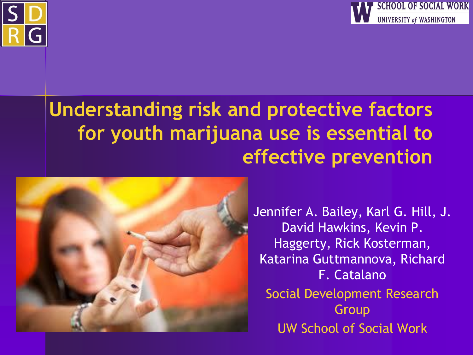



### **Understanding risk and protective factors for youth marijuana use is essential to effective prevention**



Jennifer A. Bailey, Karl G. Hill, J. David Hawkins, Kevin P. Haggerty, Rick Kosterman, Katarina Guttmannova, Richard F. Catalano Social Development Research Group UW School of Social Work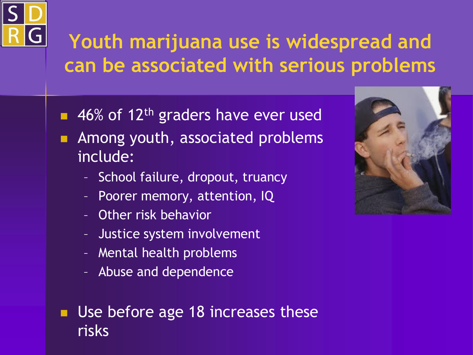

## **Youth marijuana use is widespread and can be associated with serious problems**

- $\blacksquare$  46% of 12<sup>th</sup> graders have ever used
- **Among youth, associated problems** include:
	- School failure, dropout, truancy
	- Poorer memory, attention, IQ
	- Other risk behavior
	- Justice system involvement
	- Mental health problems
	- Abuse and dependence

**Use before age 18 increases these** risks

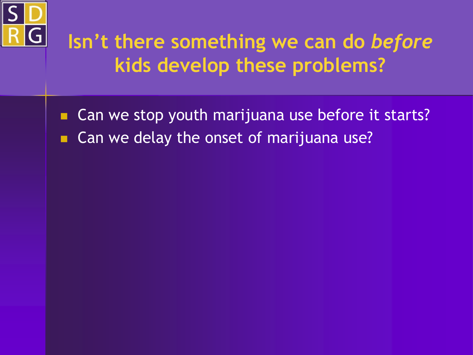

## **Isn't there something we can do** *before* **kids develop these problems?**

- Can we stop youth marijuana use before it starts?
- Can we delay the onset of marijuana use?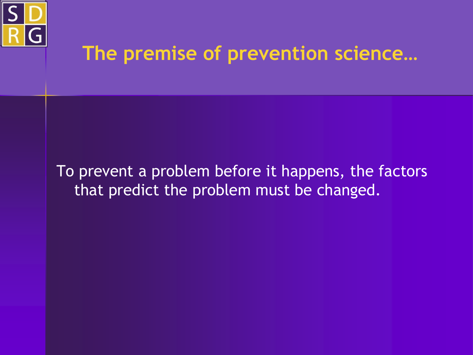

### **The premise of prevention science…**

### To prevent a problem before it happens, the factors that predict the problem must be changed.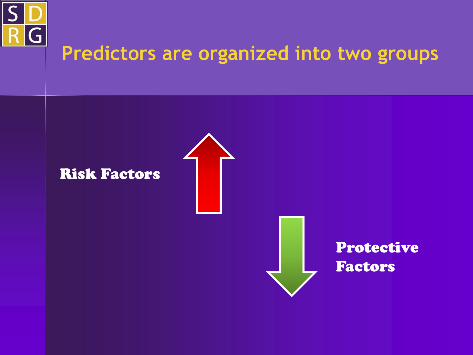

### **Predictors are organized into two groups**

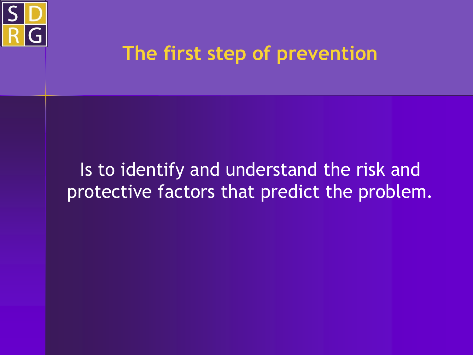

### **The first step of prevention**

### Is to identify and understand the risk and protective factors that predict the problem.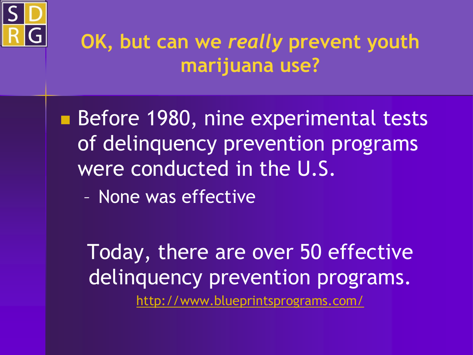

### **OK, but can we** *really* **prevent youth marijuana use?**

Before 1980, nine experimental tests of delinquency prevention programs were conducted in the U.S.

– None was effective

Today, there are over 50 effective delinquency prevention programs. <http://www.blueprintsprograms.com/>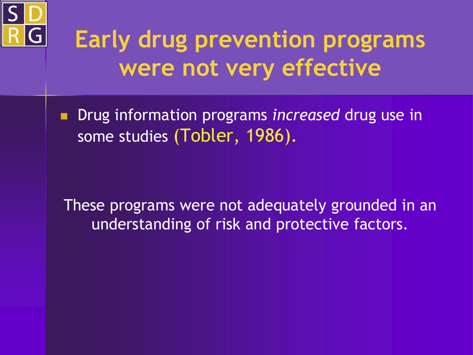

# **Early drug prevention programs were not very effective**

**Drug information programs** *increased* drug use in some studies (Tobler, 1986).

These programs were not adequately grounded in an understanding of risk and protective factors.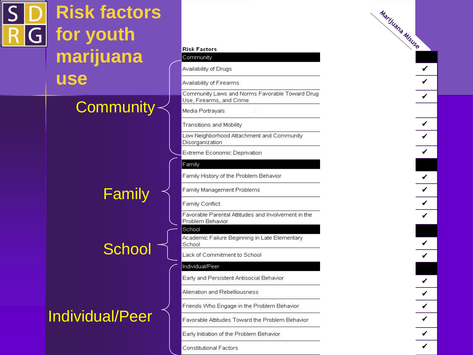

# **Risk factors for youth marijuana use**

### Community~

Family

### **School**

### Individual/Peer

#### **Risk Factors**

#### Community

Availability of Drugs

Availability of Firearms

Community Laws and Norms Favorable Toward Drug Use, Firearms, and Crime

Media Portravals

Transitions and Mobility

Low Neighborhood Attachment and Community Disorganization

Extreme Economic Deprivation

Family

Family History of the Problem Behavior

Family Management Problems

Family Conflict

Favorable Parental Attitudes and Involvement in the Problem Behavior

School

Academic Failure Beginning in Late Elementary School

Lack of Commitment to School

#### Individual/Peer

Early and Persistent Antisocial Behavior

Alienation and Rebelliousness

Friends Who Engage in the Problem Behavior

Favorable Attitudes Toward the Problem Behavior

Early Initiation of the Problem Behavior

**Constitutional Factors**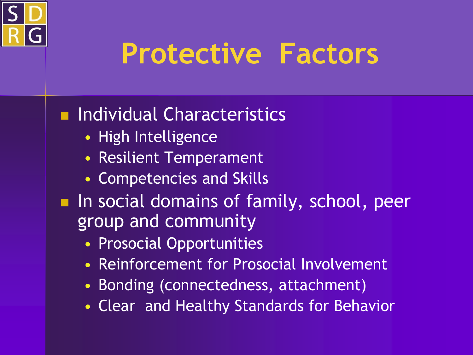

# **Protective Factors**

### **Individual Characteristics**

- High Intelligence
- Resilient Temperament
- Competencies and Skills
- **In social domains of family, school, peer** group and community
	- Prosocial Opportunities
	- Reinforcement for Prosocial Involvement
	- Bonding (connectedness, attachment)
	- Clear and Healthy Standards for Behavior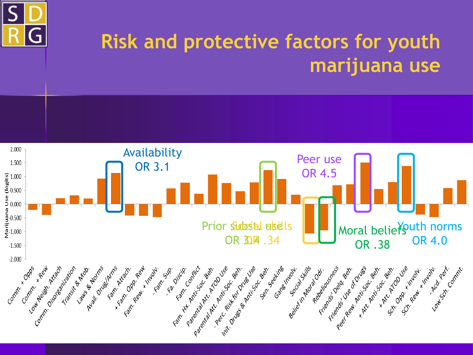

### **Risk and protective factors for youth marijuana use**

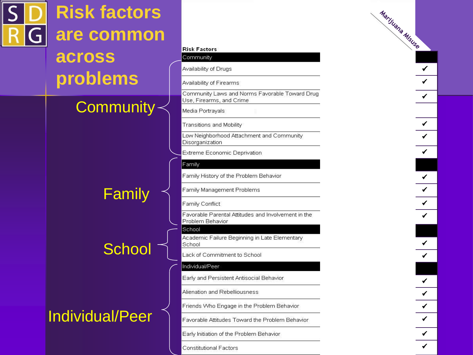|    | <b>Risk factors</b>    |                                                                            |
|----|------------------------|----------------------------------------------------------------------------|
| GI | are common             |                                                                            |
|    | across                 | <b>Risk Factors</b><br>Community<br>Availability of Drugs                  |
|    | problems               | Availability of Firearms                                                   |
|    |                        | Community Laws and Norms Favorable Toward Drug<br>Use, Firearms, and Crime |
|    | <b>Community</b>       | Media Portrayals                                                           |
|    |                        | Transitions and Mobility                                                   |
|    |                        | Low Neighborhood Attachment and Community<br>Disorganization               |
|    |                        | Extreme Economic Deprivation                                               |
|    |                        | Family                                                                     |
|    |                        | Family History of the Problem Behavior<br>Family Management Problems       |
|    | Family                 | Family Conflict                                                            |
|    |                        | Favorable Parental Attitudes and Involvement in the<br>Problem Behavior    |
|    |                        | School<br>Academic Failure Beginning in Late Elementary<br>School          |
|    | School                 | Lack of Commitment to School                                               |
|    |                        | Individual/Peer                                                            |
|    |                        | Early and Persistent Antisocial Behavior                                   |
|    |                        | Alienation and Rebelliousness                                              |
|    | <b>Individual/Peer</b> | Friends Who Engage in the Problem Behavior                                 |
|    |                        | Favorable Attitudes Toward the Problem Behavior                            |
|    |                        | Early Initiation of the Problem Behavior                                   |
|    |                        | <b>Constitutional Factors</b>                                              |

 $\sim$  .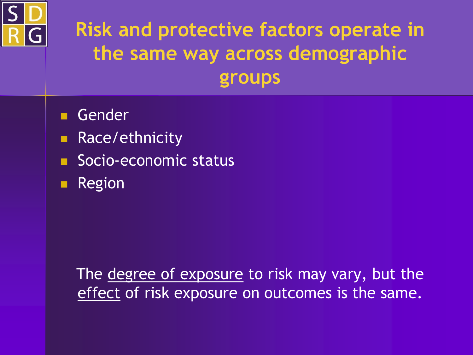

## **Risk and protective factors operate in the same way across demographic groups**

- Gender
- **Race/ethnicity**
- Socio-economic status
- **Region**

The degree of exposure to risk may vary, but the effect of risk exposure on outcomes is the same.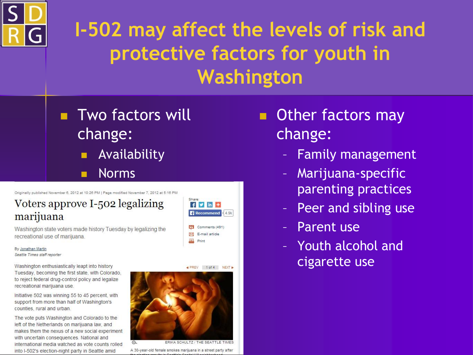

## **I-502 may affect the levels of risk and protective factors for youth in Washington**

**Two factors will** change: **Availability** Norms

Originally published November 6, 2012 at 10:26 PM | Page modified November 7, 2012 at 5:16 PM

### Voters approve I-502 legalizing marijuana

Washington state voters made history Tuesday by legalizing the recreational use of marijuana.

By Jonathan Martin Seattle Times staff reporter

Washington enthusiastically leapt into history Tuesday, becoming the first state, with Colorado, to reject federal drug-control policy and legalize recreational marijuana use.

Initiative 502 was winning 55 to 45 percent, with support from more than half of Washington's counties, rural and urban.

The vote puts Washington and Colorado to the left of the Netherlands on marijuana law, and makes them the nexus of a new social experiment with uncertain consequences. National and international media watched as vote counts rolled into I-502's election-night party in Seattle amid



◀ PREV 1 of 4 NEXT ▶



ERIKA SCHULTZ / THE SEATTLE TIMES A 30-year-old female smokes marijuana in a street party after

- **Other factors may** change:
	- Family management
	- Marijuana-specific parenting practices
	- Peer and sibling use
	- Parent use
	- Youth alcohol and cigarette use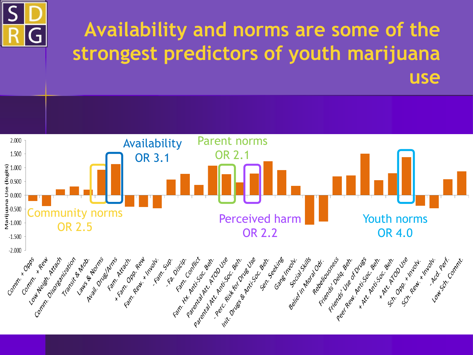

## **Availability and norms are some of the strongest predictors of youth marijuana use**

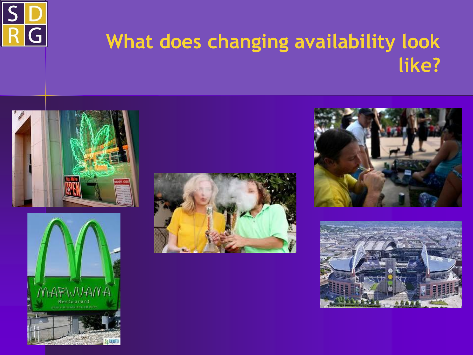

### **What does changing availability look like?**









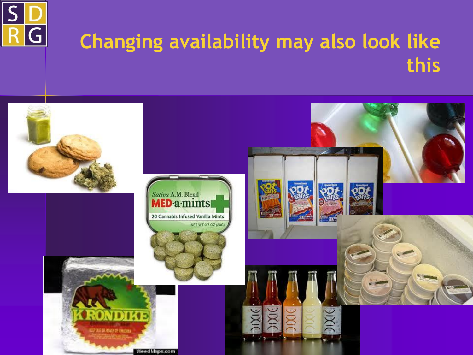

### **Changing availability may also look like this**

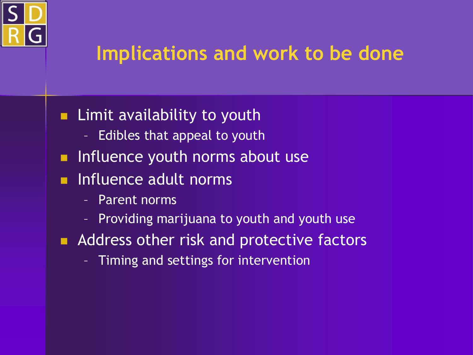

### **Implications and work to be done**

- **Limit availability to youth** 
	- Edibles that appeal to youth
- **Influence youth norms about use**
- **Influence adult norms** 
	- Parent norms
	- Providing marijuana to youth and youth use
- **Address other risk and protective factors** 
	- Timing and settings for intervention